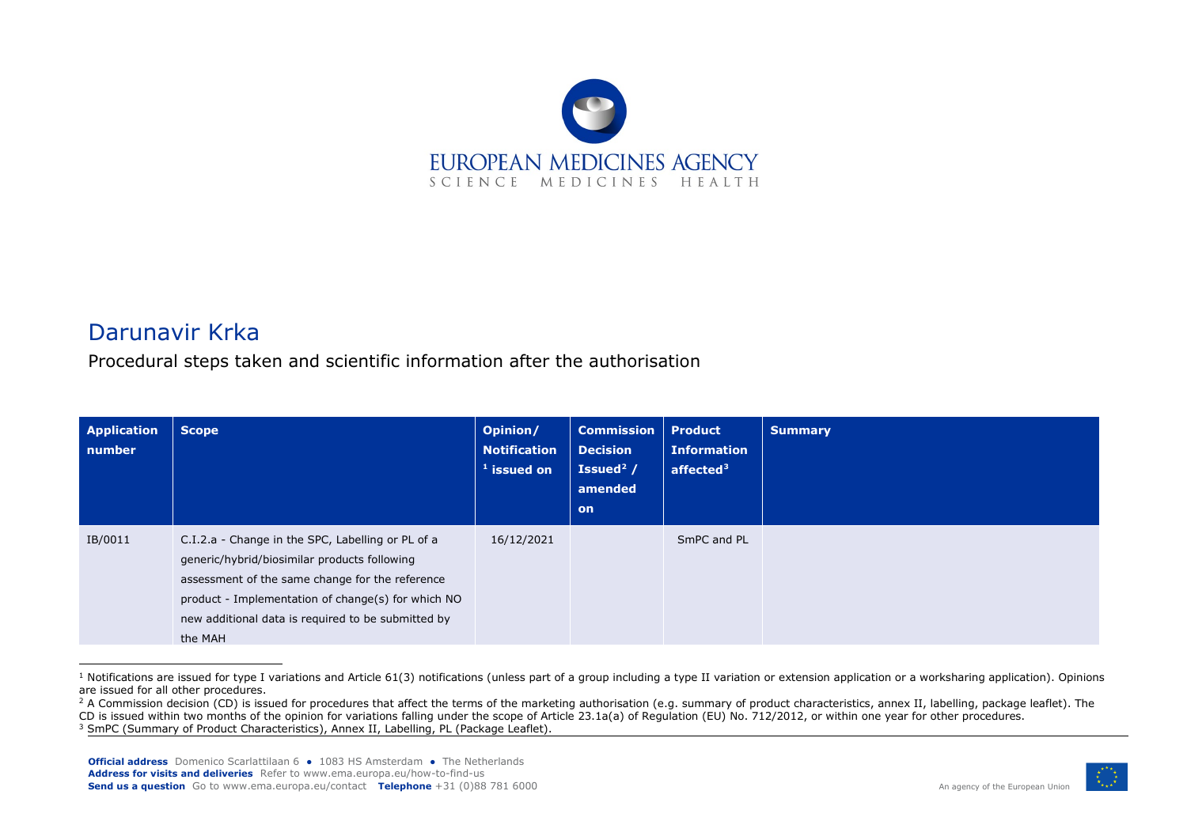<span id="page-0-2"></span><span id="page-0-1"></span><span id="page-0-0"></span>

## Darunavir Krka

Procedural steps taken and scientific information after the authorisation

| <b>Application</b><br>number | <b>Scope</b>                                                                                                                                                                                                                                                                | Opinion/<br><b>Notification</b><br>$^{-1}$ issued on | <b>Commission</b><br><b>Decision</b><br>Issued <sup>2</sup> /<br>amended<br><b>on</b> | <b>Product</b><br><b>Information</b><br>affected $3$ | <b>Summary</b> |
|------------------------------|-----------------------------------------------------------------------------------------------------------------------------------------------------------------------------------------------------------------------------------------------------------------------------|------------------------------------------------------|---------------------------------------------------------------------------------------|------------------------------------------------------|----------------|
| IB/0011                      | C.I.2.a - Change in the SPC, Labelling or PL of a<br>generic/hybrid/biosimilar products following<br>assessment of the same change for the reference<br>product - Implementation of change(s) for which NO<br>new additional data is required to be submitted by<br>the MAH | 16/12/2021                                           |                                                                                       | SmPC and PL                                          |                |

 $1$  Notifications are issued for type I variations and Article 61(3) notifications (unless part of a group including a type II variation or extension application or a worksharing application). Opinions are issued for all other procedures.



<sup>&</sup>lt;sup>2</sup> A Commission decision (CD) is issued for procedures that affect the terms of the marketing authorisation (e.g. summary of product characteristics, annex II, labelling, package leaflet). The CD is issued within two months of the opinion for variations falling under the scope of Article 23.1a(a) of Regulation (EU) No. 712/2012, or within one year for other procedures.

<sup>&</sup>lt;sup>3</sup> SmPC (Summary of Product Characteristics), Annex II, Labelling, PL (Package Leaflet).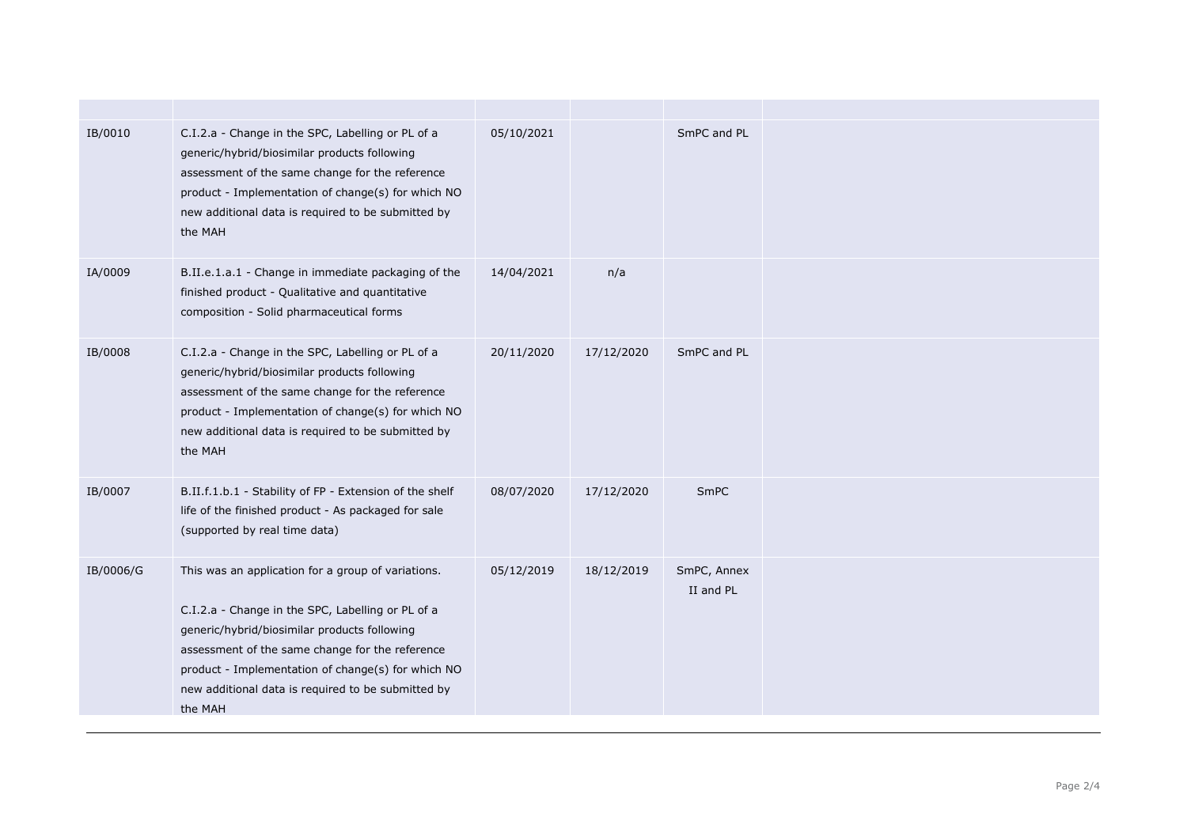| IB/0010   | C.I.2.a - Change in the SPC, Labelling or PL of a<br>generic/hybrid/biosimilar products following<br>assessment of the same change for the reference<br>product - Implementation of change(s) for which NO<br>new additional data is required to be submitted by<br>the MAH                                                       | 05/10/2021 |            | SmPC and PL              |  |
|-----------|-----------------------------------------------------------------------------------------------------------------------------------------------------------------------------------------------------------------------------------------------------------------------------------------------------------------------------------|------------|------------|--------------------------|--|
| IA/0009   | B.II.e.1.a.1 - Change in immediate packaging of the<br>finished product - Qualitative and quantitative<br>composition - Solid pharmaceutical forms                                                                                                                                                                                | 14/04/2021 | n/a        |                          |  |
| IB/0008   | C.I.2.a - Change in the SPC, Labelling or PL of a<br>generic/hybrid/biosimilar products following<br>assessment of the same change for the reference<br>product - Implementation of change(s) for which NO<br>new additional data is required to be submitted by<br>the MAH                                                       | 20/11/2020 | 17/12/2020 | SmPC and PL              |  |
| IB/0007   | B.II.f.1.b.1 - Stability of FP - Extension of the shelf<br>life of the finished product - As packaged for sale<br>(supported by real time data)                                                                                                                                                                                   | 08/07/2020 | 17/12/2020 | <b>SmPC</b>              |  |
| IB/0006/G | This was an application for a group of variations.<br>C.I.2.a - Change in the SPC, Labelling or PL of a<br>generic/hybrid/biosimilar products following<br>assessment of the same change for the reference<br>product - Implementation of change(s) for which NO<br>new additional data is required to be submitted by<br>the MAH | 05/12/2019 | 18/12/2019 | SmPC, Annex<br>II and PL |  |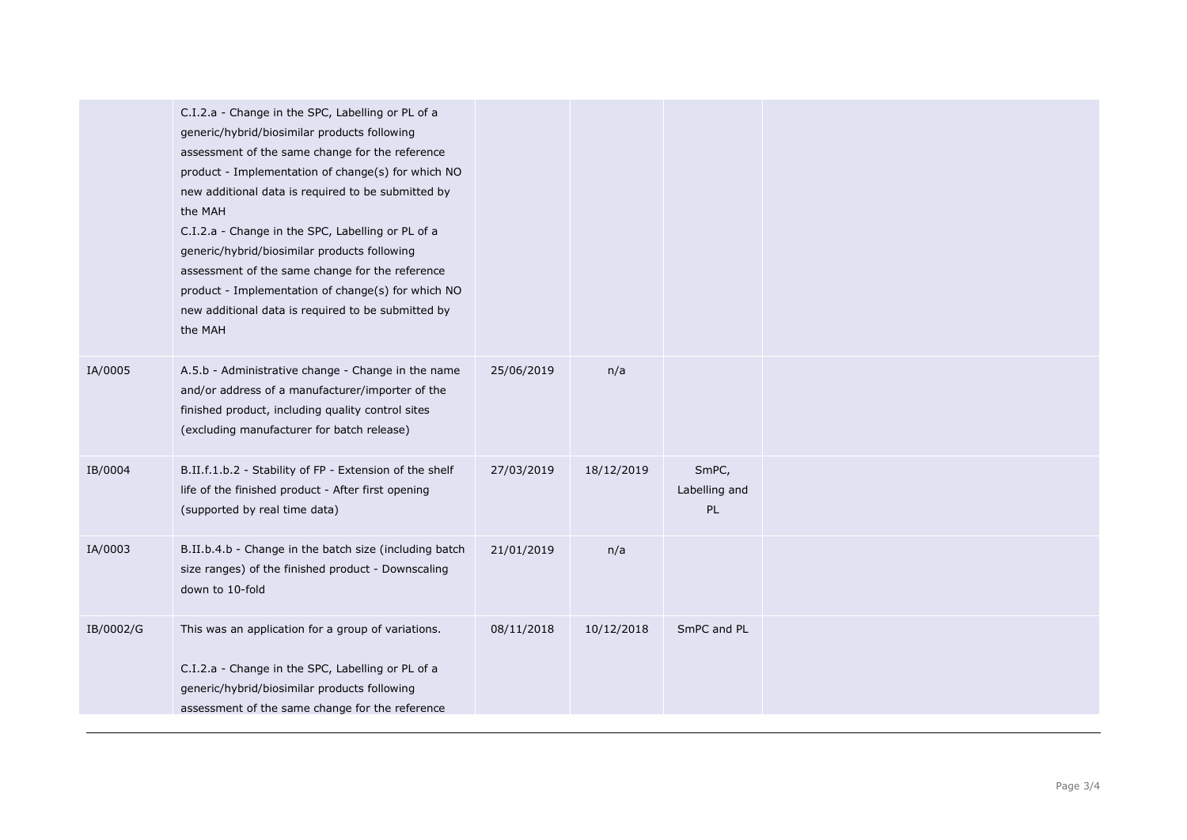|           | C.I.2.a - Change in the SPC, Labelling or PL of a<br>generic/hybrid/biosimilar products following<br>assessment of the same change for the reference<br>product - Implementation of change(s) for which NO<br>new additional data is required to be submitted by<br>the MAH<br>C.I.2.a - Change in the SPC, Labelling or PL of a<br>generic/hybrid/biosimilar products following<br>assessment of the same change for the reference<br>product - Implementation of change(s) for which NO<br>new additional data is required to be submitted by<br>the MAH |            |            |                              |  |
|-----------|------------------------------------------------------------------------------------------------------------------------------------------------------------------------------------------------------------------------------------------------------------------------------------------------------------------------------------------------------------------------------------------------------------------------------------------------------------------------------------------------------------------------------------------------------------|------------|------------|------------------------------|--|
| IA/0005   | A.5.b - Administrative change - Change in the name<br>and/or address of a manufacturer/importer of the<br>finished product, including quality control sites<br>(excluding manufacturer for batch release)                                                                                                                                                                                                                                                                                                                                                  | 25/06/2019 | n/a        |                              |  |
| IB/0004   | B.II.f.1.b.2 - Stability of FP - Extension of the shelf<br>life of the finished product - After first opening<br>(supported by real time data)                                                                                                                                                                                                                                                                                                                                                                                                             | 27/03/2019 | 18/12/2019 | SmPC,<br>Labelling and<br>PL |  |
| IA/0003   | B.II.b.4.b - Change in the batch size (including batch<br>size ranges) of the finished product - Downscaling<br>down to 10-fold                                                                                                                                                                                                                                                                                                                                                                                                                            | 21/01/2019 | n/a        |                              |  |
| IB/0002/G | This was an application for a group of variations.<br>C.I.2.a - Change in the SPC, Labelling or PL of a<br>generic/hybrid/biosimilar products following<br>assessment of the same change for the reference                                                                                                                                                                                                                                                                                                                                                 | 08/11/2018 | 10/12/2018 | SmPC and PL                  |  |